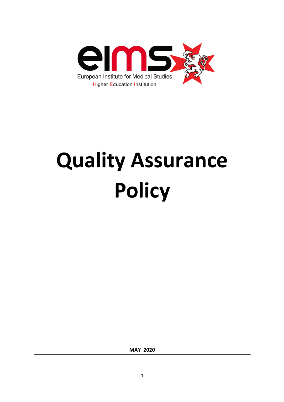

# **Quality Assurance Policy**

**MAY 2020**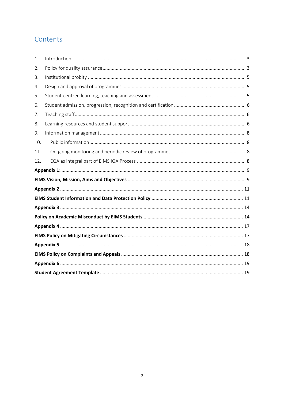## Contents

| 1.  |  |  |  |
|-----|--|--|--|
| 2.  |  |  |  |
| 3.  |  |  |  |
| 4.  |  |  |  |
| 5.  |  |  |  |
| 6.  |  |  |  |
| 7.  |  |  |  |
| 8.  |  |  |  |
| 9.  |  |  |  |
| 10. |  |  |  |
| 11. |  |  |  |
| 12. |  |  |  |
|     |  |  |  |
|     |  |  |  |
|     |  |  |  |
|     |  |  |  |
|     |  |  |  |
|     |  |  |  |
|     |  |  |  |
|     |  |  |  |
|     |  |  |  |
|     |  |  |  |
|     |  |  |  |
|     |  |  |  |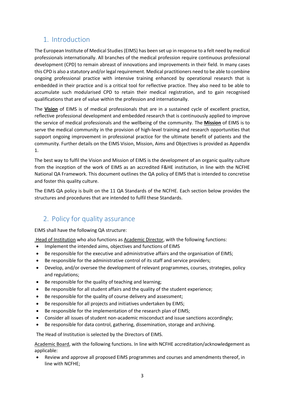## 1. Introduction

The European Institute of Medical Studies (EIMS) has been set up in response to a felt need by medical professionals internationally. All branches of the medical profession require continuous professional development (CPD) to remain abreast of innovations and improvements in their field. In many cases this CPD is also a statutory and/or legal requirement. Medical practitioners need to be able to combine ongoing professional practice with intensive training enhanced by operational research that is embedded in their practice and is a critical tool for reflective practice. They also need to be able to accumulate such modularised CPD to retain their medical registration, and to gain recognised qualifications that are of value within the profession and internationally.

The **Vision** of EIMS is of medical professionals that are in a sustained cycle of excellent practice, reflective professional development and embedded research that is continuously applied to improve the service of medical professionals and the wellbeing of the community. The **Mission** of EIMS is to serve the medical community in the provision of high-level training and research opportunities that support ongoing improvement in professional practice for the ultimate benefit of patients and the community. Further details on the EIMS Vision, Mission, Aims and Objectives is provided as Appendix 1.

The best way to fulfil the Vision and Mission of EIMS is the development of an organic quality culture from the inception of the work of EIMS as an accredited F&HE institution, in line with the NCFHE National QA Framework. This document outlines the QA policy of EIMS that is intended to concretise and foster this quality culture.

The EIMS QA policy is built on the 11 QA Standards of the NCFHE. Each section below provides the structures and procedures that are intended to fulfil these Standards.

## 2. Policy for quality assurance

EIMS shall have the following QA structure:

Head of Institution who also functions as Academic Director, with the following functions:

- Implement the intended aims, objectives and functions of EIMS
- Be responsible for the executive and administrative affairs and the organisation of EIMS;
- Be responsible for the administrative control of its staff and service providers;
- Develop, and/or oversee the development of relevant programmes, courses, strategies, policy and regulations;
- Be responsible for the quality of teaching and learning;
- Be responsible for all student affairs and the quality of the student experience;
- Be responsible for the quality of course delivery and assessment;
- Be responsible for all projects and initiatives undertaken by EIMS;
- Be responsible for the implementation of the research plan of EIMS;
- Consider all issues of student non-academic misconduct and issue sanctions accordingly;
- Be responsible for data control, gathering, dissemination, storage and archiving.

The Head of Institution is selected by the Directors of EIMS.

Academic Board, with the following functions. In line with NCFHE accreditation/acknowledgement as applicable:

• Review and approve all proposed EIMS programmes and courses and amendments thereof, in line with NCFHE;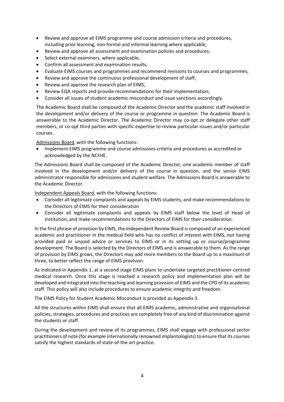- Review and approve all EIMS programme and course admission criteria and procedures, including prior learning, non-formal and informal learning where applicable;
- Review and approve all assessment and examination policies and procedures;
- Select external examiners, where applicable;
- Confirm all assessment and examination results;
- Evaluate EIMS courses and programmes and recommend revisions to courses and programmes;
- Review and approve the continuous professional development of staff;
- Review and approve the research plan of EIMS;
- Review EQA reports and provide recommendations for their implementation;
- Consider all issues of student academic misconduct and issue sanctions accordingly.

The Academic Board shall be composed of the Academic Director and the academic staff involved in the development and/or delivery of the course or programme in question. The Academic Board is answerable to the Academic Director. The Academic Director may co-opt or delegate other staff members, or co-opt third parties with specific expertise to review particular issues and/or particular courses.

Admissions Board, with the following functions:

• Implement EIMS programme and course admissions criteria and procedures as accredited or acknowledged by the NCFHE.

The Admissions Board shall be composed of the Academic Director, one academic member of staff involved in the development and/or delivery of the course in question, and the senior EIMS administrator responsible for admissions and student welfare. The Admissions Board is answerable to the Academic Director.

Independent Appeals Board, with the following functions:

- Consider all legitimate complaints and appeals by EIMS students, and make recommendations to the Directors of EIMS for their consideration
- Consider all legitimate complaints and appeals by EIMS staff below the level of Head of Institution, and make recommendations to the Directors of EIMS for their consideration.

In the first phrase of provision by EIMS, the Independent Review Board is composed of an experienced academic and practitioner in the medical field who has no conflict of interest with EIMS, not having provided paid or unpaid advice or services to EIMS or in its setting up or course/programme development. The Board is selected by the Directors of EIMS and is answerable to them. As the range of provision by EIMS grows, the Directors may add more members to the Board up to a maximum of three, to better reflect the range of EIMS provision.

As indicated in Appendix 1, at a second stage EIMS plans to undertake targeted practitioner-centred medical research. Once this stage is reached a research policy and implementation plan will be developed and integrated into the teaching and learning provision of EIMS and the CPD of its academic staff. This policy will also include procedures to ensure academic integrity and freedom.

The EIMS Policy for Student Academic Misconduct is provided as Appendix 3.

All the structures within EIMS shall ensure that all EIMS academic, administrative and organisational policies, strategies, procedures and practices are completely free of any kind of discrimination against the students or staff.

During the development and review of its programmes, EIMS shall engage with professional sector practitioners of note (for example internationally renowned implantologists) to ensure that its courses satisfy the highest standards of state-of-the-art practice.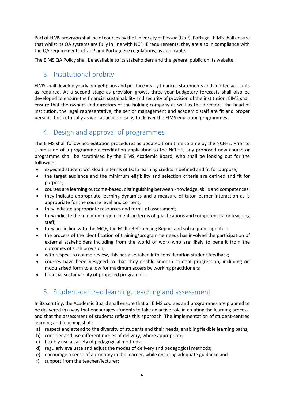Part of EIMS provision shall be of courses by the University of Pessoa (UoP), Portugal. EIMS shall ensure that whilst its QA systems are fully in line with NCFHE requirements, they are also in compliance with the QA requirements of UoP and Portuguese regulations, as applicable.

The EIMS QA Policy shall be available to its stakeholders and the general public on its website.

## 3. Institutional probity

EIMS shall develop yearly budget plans and produce yearly financial statements and audited accounts as required. At a second stage as provision grows, three-year budgetary forecasts shall also be developed to ensure the financial sustainability and security of provision of the institution. EIMS shall ensure that the owners and directors of the holding company as well as the directors, the head of institution, the legal representative, the senior management and academic staff are fit and proper persons, both ethically as well as academically, to deliver the EIMS education programmes.

## 4. Design and approval of programmes

The EIMS shall follow accreditation procedures as updated from time to time by the NCFHE. Prior to submission of a programme accreditation application to the NCFHE, any proposed new course or programme shall be scrutinised by the EIMS Academic Board, who shall be looking out for the following:

- expected student workload in terms of ECTS learning credits is defined and fit for purpose;
- the target audience and the minimum eligibility and selection criteria are defined and fit for purpose;
- courses are learning outcome-based, distinguishing between knowledge, skills and competences;
- they indicate appropriate learning dynamics and a measure of tutor-learner interaction as is appropriate for the course level and content;
- they indicate appropriate resources and forms of assessment;
- they indicate the minimum requirements in terms of qualifications and competences for teaching staff;
- they are in line with the MQF, the Malta Referencing Report and subsequent updates;
- the process of the identification of training/programme needs has involved the participation of external stakeholders including from the world of work who are likely to benefit from the outcomes of such provision;
- with respect to course review, this has also taken into consideration student feedback;
- courses have been designed so that they enable smooth student progression, including on modularised form to allow for maximum access by working practitioners;
- financial sustainability of proposed programme.

## 5. Student-centred learning, teaching and assessment

In its scrutiny, the Academic Board shall ensure that all EIMS courses and programmes are planned to be delivered in a way that encourages students to take an active role in creating the learning process, and that the assessment of students reflects this approach. The implementation of student-centred learning and teaching shall:

- a) respect and attend to the diversity of students and their needs, enabling flexible learning paths;
- b) consider and use different modes of delivery, where appropriate;
- c) flexibly use a variety of pedagogical methods;
- d) regularly evaluate and adjust the modes of delivery and pedagogical methods;
- e) encourage a sense of autonomy in the learner, while ensuring adequate guidance and
- f) support from the teacher/lecturer;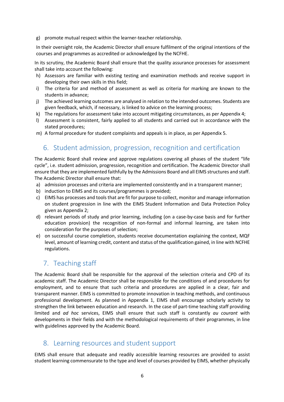g) promote mutual respect within the learner-teacher relationship.

In their oversight role, the Academic Director shall ensure fulfilment of the original intentions of the courses and programmes as accredited or acknowledged by the NCFHE.

In its scrutiny, the Academic Board shall ensure that the quality assurance processes for assessment shall take into account the following:

- h) Assessors are familiar with existing testing and examination methods and receive support in developing their own skills in this field;
- i) The criteria for and method of assessment as well as criteria for marking are known to the students in advance;
- j) The achieved learning outcomes are analysed in relation to the intended outcomes. Students are given feedback, which, if necessary, is linked to advice on the learning process;
- k) The regulations for assessment take into account mitigating circumstances, as per Appendix 4;
- l) Assessment is consistent, fairly applied to all students and carried out in accordance with the stated procedures;
- m) A formal procedure for student complaints and appeals is in place, as per Appendix 5.

## 6. Student admission, progression, recognition and certification

The Academic Board shall review and approve regulations covering all phases of the student "life cycle", i.e. student admission, progression, recognition and certification. The Academic Director shall ensure that they are implemented faithfully by the Admissions Board and all EIMS structures and staff. The Academic Director shall ensure that:

- a) admission processes and criteria are implemented consistently and in a transparent manner;
- b) induction to EIMS and its courses/programmes is provided;
- c) EIMS has processes and tools that are fit for purpose to collect, monitor and manage information on student progression in line with the EIMS Student Information and Data Protection Policy given as Appendix 2;
- d) relevant periods of study and prior learning, including (on a case-by-case basis and for further education provision) the recognition of non-formal and informal learning, are taken into consideration for the purposes of selection;
- e) on successful course completion, students receive documentation explaining the context, MQF level, amount of learning credit, content and status of the qualification gained, in line with NCFHE regulations.

## 7. Teaching staff

The Academic Board shall be responsible for the approval of the selection criteria and CPD of its academic staff. The Academic Director shall be responsible for the conditions of and procedures for employment, and to ensure that such criteria and procedures are applied in a clear, fair and transparent manner. EIMS is committed to promote innovation in teaching methods, and continuous professional development. As planned in Appendix 1, EIMS shall encourage scholarly activity to strengthen the link between education and research. In the case of part-time teaching staff providing limited and *ad hoc* services, EIMS shall ensure that such staff is constantly *au courant* with developments in their fields and with the methodological requirements of their programmes, in line with guidelines approved by the Academic Board.

## 8. Learning resources and student support

EIMS shall ensure that adequate and readily accessible learning resources are provided to assist student learning commensurate to the type and level of courses provided by EIMS, whether physically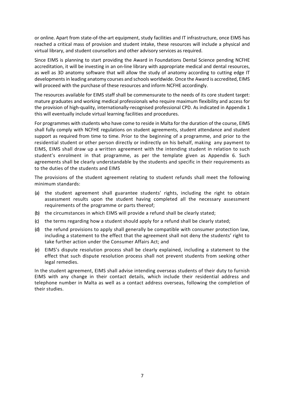or online. Apart from state-of-the-art equipment, study facilities and IT infrastructure, once EIMS has reached a critical mass of provision and student intake, these resources will include a physical and virtual library, and student counsellors and other advisory services as required.

Since EIMS is planning to start providing the Award in Foundations Dental Science pending NCFHE accreditation, it will be investing in an on-line library with appropriate medical and dental resources, as well as 3D anatomy software that will allow the study of anatomy according to cutting edge IT developments in leading anatomy courses and schools worldwide. Once the Award is accredited, EIMS will proceed with the purchase of these resources and inform NCFHE accordingly.

The resources available for EIMS staff shall be commensurate to the needs of its core student target: mature graduates and working medical professionals who require maximum flexibility and access for the provision of high-quality, internationally-recognised professional CPD. As indicated in Appendix 1 this will eventually include virtual learning facilities and procedures.

For programmes with students who have come to reside in Malta for the duration of the course, EIMS shall fully comply with NCFHE regulations on student agreements, student attendance and student support as required from time to time. Prior to the beginning of a programme, and prior to the residential student or other person directly or indirectly on his behalf, making any payment to EIMS, EIMS shall draw up a written agreement with the intending student in relation to such student's enrolment in that programme, as per the template given as Appendix 6. Such agreements shall be clearly understandable by the students and specific in their requirements as to the duties of the students and EIMS

The provisions of the student agreement relating to student refunds shall meet the following minimum standards:

- (a) the student agreement shall guarantee students' rights, including the right to obtain assessment results upon the student having completed all the necessary assessment requirements of the programme or parts thereof;
- (b) the circumstances in which EIMS will provide a refund shall be clearly stated;
- (c) the terms regarding how a student should apply for a refund shall be clearly stated;
- (d) the refund provisions to apply shall generally be compatible with consumer protection law, including a statement to the effect that the agreement shall not deny the students' right to take further action under the Consumer Affairs Act; and
- (e) EIMS's dispute resolution process shall be clearly explained, including a statement to the effect that such dispute resolution process shall not prevent students from seeking other legal remedies.

In the student agreement, EIMS shall advise intending overseas students of their duty to furnish EIMS with any change in their contact details, which include their residential address and telephone number in Malta as well as a contact address overseas, following the completion of their studies.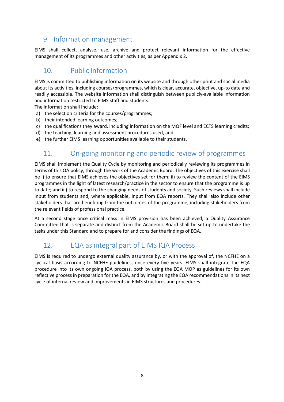## 9. Information management

EIMS shall collect, analyse, use, archive and protect relevant information for the effective management of its programmes and other activities, as per Appendix 2.

## 10. Public information

EIMS is committed to publishing information on its website and through other print and social media about its activities, including courses/programmes, which is clear, accurate, objective, up-to date and readily accessible. The website information shall distinguish between publicly-available information and information restricted to EIMS staff and students.

The information shall include:

- a) the selection criteria for the courses/programmes;
- b) their intended learning outcomes;
- c) the qualifications they award, including information on the MQF level and ECTS learning credits;
- d) the teaching, learning and assessment procedures used, and
- e) the further EIMS learning opportunities available to their students.

# 11. On-going monitoring and periodic review of programmes

EIMS shall implement the Quality Cycle by monitoring and periodically reviewing its programmes in terms of this QA policy, through the work of the Academic Board. The objectives of this exercise shall be i) to ensure that EIMS achieves the objectives set for them; ii) to review the content of the EIMS programmes in the light of latest research/practice in the sector to ensure that the programme is up to date; and iii) to respond to the changing needs of students and society. Such reviews shall include input from students and, where applicable, input from EQA reports. They shall also include other stakeholders that are benefiting from the outcomes of the programme, including stakeholders from the relevant fields of professional practice.

At a second stage once critical mass in EIMS provision has been achieved, a Quality Assurance Committee that is separate and distinct from the Academic Board shall be set up to undertake the tasks under this Standard and to prepare for and consider the findings of EQA.

## 12. EQA as integral part of EIMS IQA Process

EIMS is required to undergo external quality assurance by, or with the approval of, the NCFHE on a cyclical basis according to NCFHE guidelines, once every five years. EIMS shall integrate the EQA procedure into its own ongoing IQA process, both by using the EQA MOP as guidelines for its own reflective process in preparation for the EQA, and by integrating the EQA recommendations in its next cycle of internal review and improvements in EIMS structures and procedures.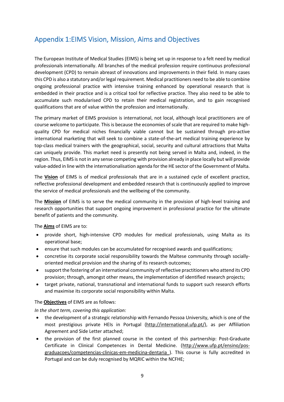## Appendix 1:EIMS Vision, Mission, Aims and Objectives

The European Institute of Medical Studies (EIMS) is being set up in response to a felt need by medical professionals internationally. All branches of the medical profession require continuous professional development (CPD) to remain abreast of innovations and improvements in their field. In many cases this CPD is also a statutory and/or legal requirement. Medical practitioners need to be able to combine ongoing professional practice with intensive training enhanced by operational research that is embedded in their practice and is a critical tool for reflective practice. They also need to be able to accumulate such modularised CPD to retain their medical registration, and to gain recognised qualifications that are of value within the profession and internationally.

The primary market of EIMS provision is international, not local, although local practitioners are of course welcome to participate. This is because the economies of scale that are required to make highquality CPD for medical niches financially viable cannot but be sustained through pro-active international marketing that will seek to combine a state-of-the-art medical training experience by top-class medical trainers with the geographical, social, security and cultural attractions that Malta can uniquely provide. This market need is presently not being served in Malta and, indeed, in the region. Thus, EIMS is not in any sense competing with provision already in place locally but will provide value-added in line with the internationalisation agenda for the HE sector of the Government of Malta.

The **Vision** of EIMS is of medical professionals that are in a sustained cycle of excellent practice, reflective professional development and embedded research that is continuously applied to improve the service of medical professionals and the wellbeing of the community.

The **Mission** of EIMS is to serve the medical community in the provision of high-level training and research opportunities that support ongoing improvement in professional practice for the ultimate benefit of patients and the community.

The **Aims** of EIMS are to:

- provide short, high-intensive CPD modules for medical professionals, using Malta as its operational base;
- ensure that such modules can be accumulated for recognised awards and qualifications;
- concretise its corporate social responsibility towards the Maltese community through sociallyoriented medical provision and the sharing of its research outcomes;
- support the fostering of an international community of reflective practitioners who attend its CPD provision; through, amongst other means, the implementation of identified research projects;
- target private, national, transnational and international funds to support such research efforts and maximise its corporate social responsibility within Malta.

The **Objectives** of EIMS are as follows:

*In the short term, covering this application:*

- the development of a strategic relationship with Fernando Pessoa University, which is one of the most prestigious private HEIs in Portugal (http://international.ufp.pt/), as per Affiliation Agreement and Side Letter attached;
- the provision of the first planned course in the context of this partnership: Post-Graduate Certificate in Clinical Competences in Dental Medicine. (http://www.ufp.pt/ensino/posgraduacoes/competencias-clinicas-em-medicina-dentaria ). This course is fully accredited in Portugal and can be duly recognised by MQRIC within the NCFHE;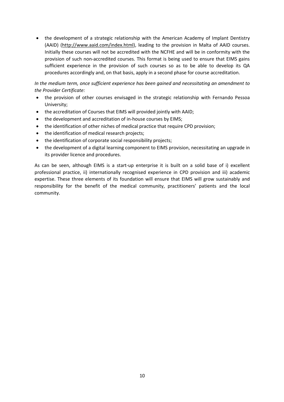• the development of a strategic relationship with the American Academy of Implant Dentistry (AAID) (http://www.aaid.com/index.html), leading to the provision in Malta of AAID courses. Initially these courses will not be accredited with the NCFHE and will be in conformity with the provision of such non-accredited courses. This format is being used to ensure that EIMS gains sufficient experience in the provision of such courses so as to be able to develop its QA procedures accordingly and, on that basis, apply in a second phase for course accreditation.

*In the medium term, once sufficient experience has been gained and necessitating an amendment to the Provider Certificate:*

- the provision of other courses envisaged in the strategic relationship with Fernando Pessoa University;
- the accreditation of Courses that EIMS will provided jointly with AAID;
- the development and accreditation of in-house courses by EIMS;
- the identification of other niches of medical practice that require CPD provision;
- the identification of medical research projects;
- the identification of corporate social responsibility projects:
- the development of a digital learning component to EIMS provision, necessitating an upgrade in its provider licence and procedures.

As can be seen, although EIMS is a start-up enterprise it is built on a solid base of i) excellent professional practice, ii) internationally recognised experience in CPD provision and iii) academic expertise. These three elements of its foundation will ensure that EIMS will grow sustainably and responsibility for the benefit of the medical community, practitioners' patients and the local community.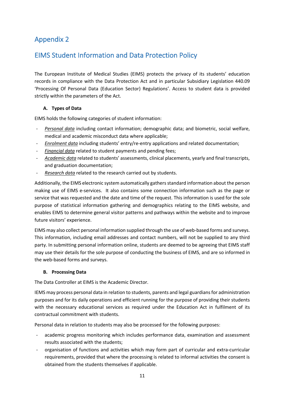## EIMS Student Information and Data Protection Policy

The European Institute of Medical Studies (EIMS) protects the privacy of its students' education records in compliance with the Data Protection Act and in particular Subsidiary Legislation 440.09 'Processing Of Personal Data (Education Sector) Regulations'. Access to student data is provided strictly within the parameters of the Act.

## **A. Types of Data**

EIMS holds the following categories of student information:

- *Personal data* including contact information; demographic data; and biometric, social welfare, medical and academic misconduct data where applicable;
- *Enrolment data* including students' entry/re-entry applications and related documentation;
- *Financial data* related to student payments and pending fees;
- *Academic data* related to students' assessments, clinical placements, yearly and final transcripts, and graduation documentation;
- *Research data* related to the research carried out by students.

Additionally, the EIMS electronic system automatically gathers standard information about the person making use of EIMS e-services. It also contains some connection information such as the page or service that was requested and the date and time of the request. This information is used for the sole purpose of statistical information gathering and demographics relating to the EIMS website, and enables EIMS to determine general visitor patterns and pathways within the website and to improve future visitors' experience.

EIMS may also collect personal information supplied through the use of web-based forms and surveys. This information, including email addresses and contact numbers, will not be supplied to any third party. In submitting personal information online, students are deemed to be agreeing that EIMS staff may use their details for the sole purpose of conducting the business of EIMS, and are so informed in the web-based forms and surveys.

## **B. Processing Data**

The Data Controller at EIMS is the Academic Director.

IEMS may process personal data in relation to students, parents and legal guardians for administration purposes and for its daily operations and efficient running for the purpose of providing their students with the necessary educational services as required under the Education Act in fulfilment of its contractual commitment with students.

Personal data in relation to students may also be processed for the following purposes:

- academic progress monitoring which includes performance data, examination and assessment results associated with the students;
- organisation of functions and activities which may form part of curricular and extra-curricular requirements, provided that where the processing is related to informal activities the consent is obtained from the students themselves if applicable.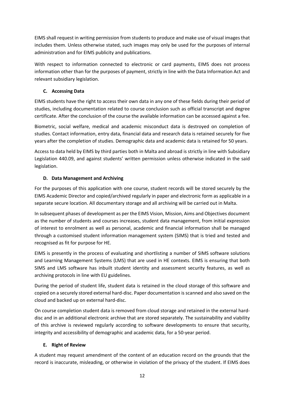EIMS shall request in writing permission from students to produce and make use of visual images that includes them. Unless otherwise stated, such images may only be used for the purposes of internal administration and for EIMS publicity and publications.

With respect to information connected to electronic or card payments, EIMS does not process information other than for the purposes of payment, strictly in line with the Data Information Act and relevant subsidiary legislation.

## **C. Accessing Data**

EIMS students have the right to access their own data in any one of these fields during their period of studies, including documentation related to course conclusion such as official transcript and degree certificate. After the conclusion of the course the available information can be accessed against a fee.

Biometric, social welfare, medical and academic misconduct data is destroyed on completion of studies. Contact information, entry data, financial data and research data is retained securely for five years after the completion of studies. Demographic data and academic data is retained for 50 years.

Access to data held by EIMS by third parties both in Malta and abroad is strictly in line with Subsidiary Legislation 440.09, and against students' written permission unless otherwise indicated in the said legislation.

## **D. Data Management and Archiving**

For the purposes of this application with one course, student records will be stored securely by the EIMS Academic Director and copied/archived regularly in paper and electronic form as applicable in a separate secure location. All documentary storage and all archiving will be carried out in Malta.

In subsequent phases of development as per the EIMS Vision, Mission, Aims and Objectives document as the number of students and courses increases, student data management, from initial expression of interest to enrolment as well as personal, academic and financial information shall be managed through a customised student information management system (SIMS) that is tried and tested and recognised as fit for purpose for HE.

EIMS is presently in the process of evaluating and shortlisting a number of SIMS software solutions and Learning Management Systems (LMS) that are used in HE contexts. EIMS is ensuring that both SIMS and LMS software has inbuilt student identity and assessment security features, as well as archiving protocols in line with EU guidelines.

During the period of student life, student data is retained in the cloud storage of this software and copied on a securely stored external hard-disc. Paper documentation is scanned and also saved on the cloud and backed up on external hard-disc.

On course completion student data is removed from cloud storage and retained in the external harddisc and in an additional electronic archive that are stored separately. The sustainability and viability of this archive is reviewed regularly according to software developments to ensure that security, integrity and accessibility of demographic and academic data, for a 50-year period.

## **E. Right of Review**

A student may request amendment of the content of an education record on the grounds that the record is inaccurate, misleading, or otherwise in violation of the privacy of the student. If EIMS does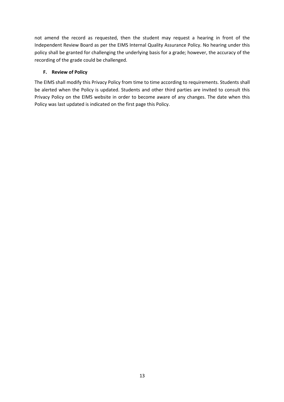not amend the record as requested, then the student may request a hearing in front of the Independent Review Board as per the EIMS Internal Quality Assurance Policy. No hearing under this policy shall be granted for challenging the underlying basis for a grade; however, the accuracy of the recording of the grade could be challenged.

## **F. Review of Policy**

The EIMS shall modify this Privacy Policy from time to time according to requirements. Students shall be alerted when the Policy is updated. Students and other third parties are invited to consult this Privacy Policy on the EIMS website in order to become aware of any changes. The date when this Policy was last updated is indicated on the first page this Policy.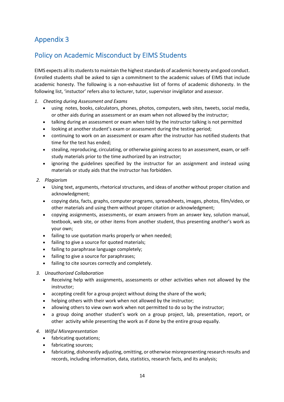## Policy on Academic Misconduct by EIMS Students

EIMS expects all its students to maintain the highest standards of academic honesty and good conduct. Enrolled students shall be asked to sign a commitment to the academic values of EIMS that include academic honesty. The following is a non-exhaustive list of forms of academic dishonesty. In the following list, 'instuctor' refers also to lecturer, tutor, supervisor invigilator and assessor.

- *1. Cheating during Assessment and Exams*
	- using notes, books, calculators, phones, photos, computers, web sites, tweets, social media, or other aids during an assessment or an exam when not allowed by the instructor;
	- talking during an assessment or exam when told by the instructor talking is not permitted
	- looking at another student's exam or assessment during the testing period;
	- continuing to work on an assessment or exam after the instructor has notified students that time for the test has ended;
	- stealing, reproducing, circulating, or otherwise gaining access to an assessment, exam, or selfstudy materials prior to the time authorized by an instructor;
	- ignoring the guidelines specified by the instructor for an assignment and instead using materials or study aids that the instructor has forbidden.

#### *2. Plagiarism*

- Using text, arguments, rhetorical structures, and ideas of another without proper citation and acknowledgment;
- copying data, facts, graphs, computer programs, spreadsheets, images, photos, film/video, or other materials and using them without proper citation or acknowledgment;
- copying assignments, assessments, or exam answers from an answer key, solution manual, textbook, web site, or other items from another student, thus presenting another's work as your own;
- failing to use quotation marks properly or when needed;
- failing to give a source for quoted materials;
- failing to paraphrase language completely;
- failing to give a source for paraphrases;
- failing to cite sources correctly and completely.

#### *3. Unauthorized Collaboration*

- Receiving help with assignments, assessments or other activities when not allowed by the instructor;
- accepting credit for a group project without doing the share of the work;
- helping others with their work when not allowed by the instructor;
- allowing others to view own work when not permitted to do so by the instructor;
- a group doing another student's work on a group project, lab, presentation, report, or other activity while presenting the work as if done by the entire group equally.

#### *4. Wilful Misrepresentation*

- fabricating quotations;
- fabricating sources;
- fabricating, dishonestly adjusting, omitting, or otherwise misrepresenting research results and records, including information, data, statistics, research facts, and its analysis;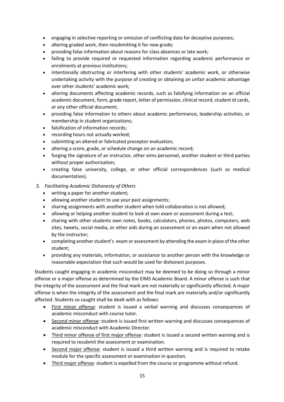- engaging in selective reporting or omission of conflicting data for deceptive purposes;
- altering graded work, then resubmitting it for new grade;
- providing false information about reasons for class absences or late work;
- failing to provide required or requested information regarding academic performance or enrolments at previous institutions;
- intentionally obstructing or interfering with other students' academic work, or otherwise undertaking activity with the purpose of creating or obtaining an unfair academic advantage over other students' academic work;
- altering documents affecting academic records, such as falsifying information on an official academic document, form, grade report, letter of permission, clinical record, student id cards, or any other official document;
- providing false information to others about academic performance, leadership activities, or membership in student organizations;
- falsification of information records;
- recording hours not actually worked;
- submitting an altered or fabricated preceptor evaluation;
- altering a score, grade, or schedule change on an academic record;
- forging the signature of an instructor, other eims personnel, another student or third parties without proper authorization;
- creating false university, college, or other official correspondences (such as medical documentation).
- *5. Facilitating Academic Dishonesty of Others*
	- writing a paper for another student;
	- allowing another student to use your past assignments;
	- sharing assignments with another student when told collaboration is not allowed;
	- allowing or helping another student to look at own exam or assessment during a test;
	- sharing with other students own notes, books, calculators, phones, photos, computers, web sites, tweets, social media, or other aids during an assessment or an exam when not allowed by the instructor;
	- completing another student's exam or assessment by attending the exam in place of the other student;
	- providing any materials, information, or assistance to another person with the knowledge or reasonable expectation that such would be used for dishonest purposes.

Students caught engaging in academic misconduct may be deemed to be doing so through a minor offense or a major offense as determined by the EIMS Academic Board. A minor offense is such that the integrity of the assessment and the final mark are not materially or significantly affected. A major offense is when the integrity of the assessment and the final mark are materially and/or significantly affected. Students so caught shall be dealt with as follows:

- First minor offense: student is issued a verbal warning and discusses consequences of academic misconduct with course tutor.
- Second minor offense: student is issued first written warning and discusses consequences of academic misconduct with Academic Director.
- Third minor offense of first major offense: student is issued a second written warning and is required to resubmit the assessment or examination.
- Second major offense: student is issued a third written warning and is required to retake module for the specific assessment or examination in question.
- Third major offense: student is expelled from the course or programme without refund.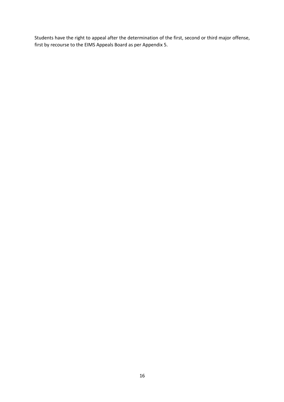Students have the right to appeal after the determination of the first, second or third major offense, first by recourse to the EIMS Appeals Board as per Appendix 5.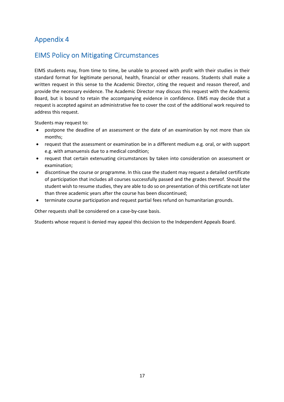## EIMS Policy on Mitigating Circumstances

EIMS students may, from time to time, be unable to proceed with profit with their studies in their standard format for legitimate personal, health, financial or other reasons. Students shall make a written request in this sense to the Academic Director, citing the request and reason thereof, and provide the necessary evidence. The Academic Director may discuss this request with the Academic Board, but is bound to retain the accompanying evidence in confidence. EIMS may decide that a request is accepted against an administrative fee to cover the cost of the additional work required to address this request.

Students may request to:

- postpone the deadline of an assessment or the date of an examination by not more than six months;
- request that the assessment or examination be in a different medium e.g. oral, or with support e.g. with amanuensis due to a medical condition;
- request that certain extenuating circumstances by taken into consideration on assessment or examination;
- discontinue the course or programme. In this case the student may request a detailed certificate of participation that includes all courses successfully passed and the grades thereof. Should the student wish to resume studies, they are able to do so on presentation of this certificate not later than three academic years after the course has been discontinued;
- terminate course participation and request partial fees refund on humanitarian grounds.

Other requests shall be considered on a case-by-case basis.

Students whose request is denied may appeal this decision to the Independent Appeals Board.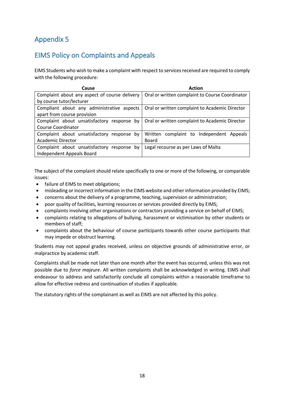# EIMS Policy on Complaints and Appeals

EIMS Students who wish to make a complaint with respect to services received are required to comply with the following procedure:

| Cause                                         | <b>Action</b>                                   |  |
|-----------------------------------------------|-------------------------------------------------|--|
| Complaint about any aspect of course delivery | Oral or written complaint to Course Coordinator |  |
| by course tutor/lecturer                      |                                                 |  |
| Compliant about any administrative aspects    | Oral or written complaint to Academic Director  |  |
| apart from course provision                   |                                                 |  |
| Complaint about unsatisfactory response by    | Oral or written complaint to Academic Director  |  |
| Course Coordinator                            |                                                 |  |
| Complaint about unsatisfactory response<br>bv | Written complaint to Independent Appeals        |  |
| Academic Director                             | Board                                           |  |
| Complaint about unsatisfactory<br>response by | Legal recourse as per Laws of Malta             |  |
| Independent Appeals Board                     |                                                 |  |

The subject of the complaint should relate specifically to one or more of the following, or comparable issues:

- failure of EIMS to meet obligations;
- misleading or incorrect information in the EIMS website and other information provided by EIMS;
- concerns about the delivery of a programme, teaching, supervision or administration;
- poor quality of facilities, learning resources or services provided directly by EIMS;
- complaints involving other organisations or contractors providing a service on behalf of EIMS;
- complaints relating to allegations of bullying, harassment or victimisation by other students or members of staff;
- complaints about the behaviour of course participants towards other course participants that may impede or obstruct learning.

Students may not appeal grades received, unless on objective grounds of administrative error, or malpractice by academic staff.

Complaints shall be made not later than one month after the event has occurred, unless this was not possible due to *force majeure*. All written complaints shall be acknowledged in writing. EIMS shall endeavour to address and satisfactorily conclude all complaints within a reasonable timeframe to allow for effective redress and continuation of studies if applicable.

The statutory rights of the complainant as well as EIMS are not affected by this policy.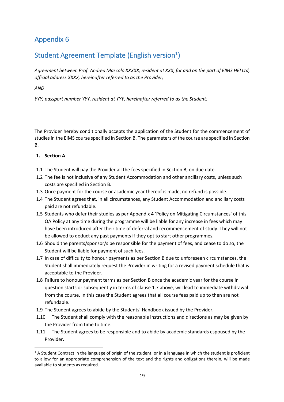# Student Agreement Template (English version<sup>1</sup>)

*Agreement between Prof. Andrea Mascolo XXXXX, resident at XXX, for and on the part of EIMS HEI Ltd, official address XXXX, hereinafter referred to as the Provider;*

*AND*

*YYY, passport number YYY, resident at YYY, hereinafter referred to as the Student:*

The Provider hereby conditionally accepts the application of the Student for the commencement of studies in the EIMS course specified in Section B. The parameters of the course are specified in Section B.

## **1. Section A**

- 1.1 The Student will pay the Provider all the fees specified in Section B, on due date.
- 1.2 The fee is not inclusive of any Student Accommodation and other ancillary costs, unless such costs are specified in Section B.
- 1.3 Once payment for the course or academic year thereof is made, no refund is possible.
- 1.4 The Student agrees that, in all circumstances, any Student Accommodation and ancillary costs paid are not refundable.
- 1.5 Students who defer their studies as per Appendix 4 'Policy on Mitigating Circumstances' of this QA Policy at any time during the programme will be liable for any increase in fees which may have been introduced after their time of deferral and recommencement of study. They will not be allowed to deduct any past payments if they opt to start other programmes.
- 1.6 Should the parents/sponsor/s be responsible for the payment of fees, and cease to do so, the Student will be liable for payment of such fees.
- 1.7 In case of difficulty to honour payments as per Section B due to unforeseen circumstances, the Student shall immediately request the Provider in writing for a revised payment schedule that is acceptable to the Provider.
- 1.8 Failure to honour payment terms as per Section B once the academic year for the course in question starts or subsequently in terms of clause 1.7 above, will lead to immediate withdrawal from the course. In this case the Student agrees that all course fees paid up to then are not refundable.
- 1.9 The Student agrees to abide by the Students' Handbook issued by the Provider.
- 1.10 The Student shall comply with the reasonable instructions and directions as may be given by the Provider from time to time.
- 1.11 The Student agrees to be responsible and to abide by academic standards espoused by the Provider.

 $1$  A Student Contract in the language of origin of the student, or in a language in which the student is proficient to allow for an appropriate comprehension of the text and the rights and obligations therein, will be made available to students as required.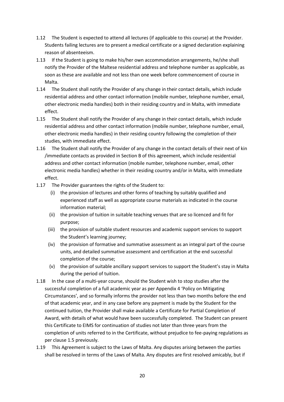- 1.12 The Student is expected to attend all lectures (if applicable to this course) at the Provider. Students failing lectures are to present a medical certificate or a signed declaration explaining reason of absenteeism.
- 1.13 If the Student is going to make his/her own accommodation arrangements, he/she shall notify the Provider of the Maltese residential address and telephone number as applicable, as soon as these are available and not less than one week before commencement of course in Malta.
- 1.14 The Student shall notify the Provider of any change in their contact details, which include residential address and other contact information (mobile number, telephone number, email, other electronic media handles) both in their residing country and in Malta, with immediate effect.
- 1.15 The Student shall notify the Provider of any change in their contact details, which include residential address and other contact information (mobile number, telephone number, email, other electronic media handles) in their residing country following the completion of their studies, with immediate effect.
- 1.16 The Student shall notify the Provider of any change in the contact details of their next of kin /immediate contacts as provided in Section B of this agreement, which include residential address and other contact information (mobile number, telephone number, email, other electronic media handles) whether in their residing country and/or in Malta, with immediate effect.
- 1.17 The Provider guarantees the rights of the Student to:
	- (i) the provision of lectures and other forms of teaching by suitably qualified and experienced staff as well as appropriate course materials as indicated in the course information material;
	- (ii) the provision of tuition in suitable teaching venues that are so licenced and fit for purpose;
	- (iii) the provision of suitable student resources and academic support services to support the Student's learning journey;
	- (iv) the provision of formative and summative assessment as an integral part of the course units, and detailed summative assessment and certification at the end successful completion of the course;
	- (v) the provision of suitable ancillary support services to support the Student's stay in Malta during the period of tuition.
- 1.18 In the case of a multi-year course, should the Student wish to stop studies after the successful completion of a full academic year as per Appendix 4 'Policy on Mitigating Circumstances', and so formally informs the provider not less than two months before the end of that academic year, and in any case before any payment is made by the Student for the continued tuition, the Provider shall make available a Certificate for Partial Completion of Award, with details of what would have been successfully completed. The Student can present this Certificate to EIMS for continuation of studies not later than three years from the completion of units referred to in the Certificate, without prejudice to fee-paying regulations as per clause 1.5 previously.
- 1.19 This Agreement is subject to the Laws of Malta. Any disputes arising between the parties shall be resolved in terms of the Laws of Malta. Any disputes are first resolved amicably, but if